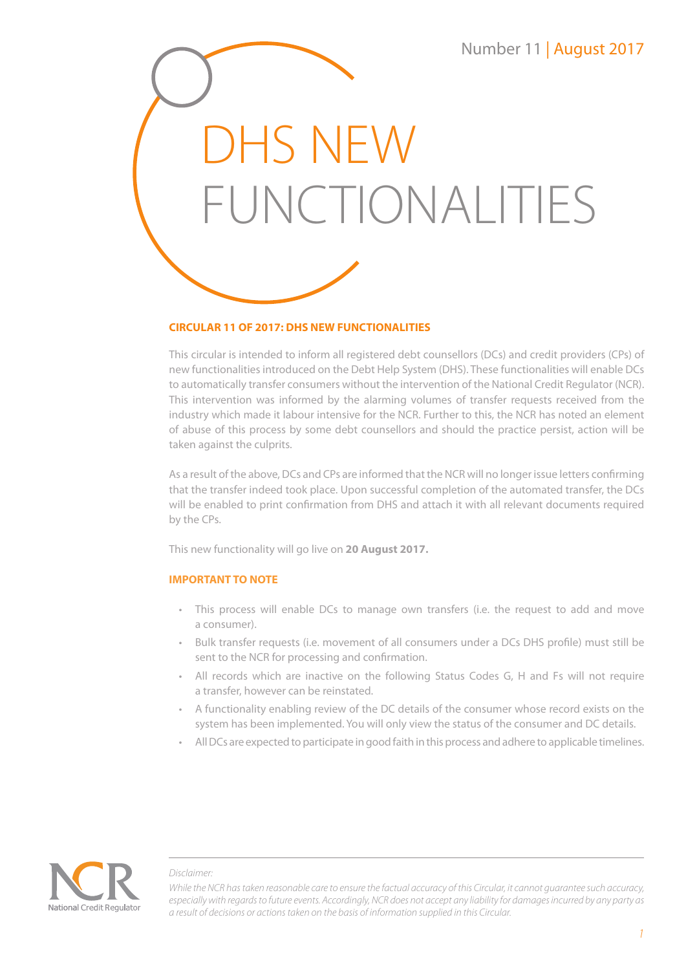DHS NEW FUNCTIONALITIES

# **CIRCULAR 11 OF 2017: DHS NEW FUNCTIONALITIES**

This circular is intended to inform all registered debt counsellors (DCs) and credit providers (CPs) of new functionalities introduced on the Debt Help System (DHS). These functionalities will enable DCs to automatically transfer consumers without the intervention of the National Credit Regulator (NCR). This intervention was informed by the alarming volumes of transfer requests received from the industry which made it labour intensive for the NCR. Further to this, the NCR has noted an element of abuse of this process by some debt counsellors and should the practice persist, action will be taken against the culprits.

As a result of the above, DCs and CPs are informed that the NCR will no longer issue letters confirming that the transfer indeed took place. Upon successful completion of the automated transfer, the DCs will be enabled to print confirmation from DHS and attach it with all relevant documents required by the CPs.

This new functionality will go live on **20 August 2017.**

## **IMPORTANT TO NOTE**

- This process will enable DCs to manage own transfers (i.e. the request to add and move a consumer).
- Bulk transfer requests (i.e. movement of all consumers under a DCs DHS profile) must still be sent to the NCR for processing and confirmation.
- All records which are inactive on the following Status Codes G, H and Fs will not require a transfer, however can be reinstated.
- A functionality enabling review of the DC details of the consumer whose record exists on the system has been implemented. You will only view the status of the consumer and DC details.
- All DCs are expected to participate in good faith in this process and adhere to applicable timelines.



### *Disclaimer:*

*While the NCR has taken reasonable care to ensure the factual accuracy of this Circular, it cannot guarantee such accuracy, especially with regards to future events. Accordingly, NCR does not accept any liability for damages incurred by any party as a result of decisions or actions taken on the basis of information supplied in this Circular.*